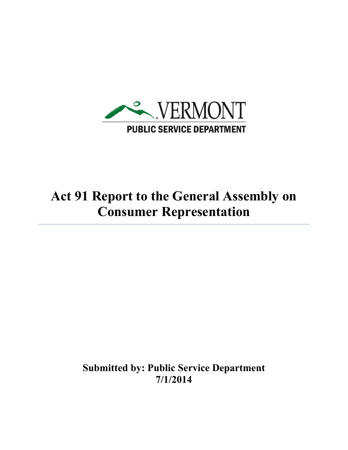

## **Act 91 Report to the General Assembly on Consumer Representation**

**Submitted by: Public Service Department 7/1/2014**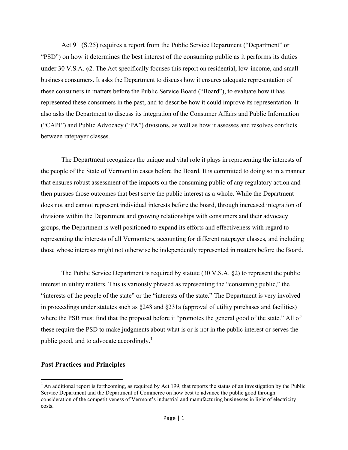Act 91 (S.25) requires a report from the Public Service Department ("Department" or "PSD") on how it determines the best interest of the consuming public as it performs its duties under 30 V.S.A. §2. The Act specifically focuses this report on residential, low-income, and small business consumers. It asks the Department to discuss how it ensures adequate representation of these consumers in matters before the Public Service Board ("Board"), to evaluate how it has represented these consumers in the past, and to describe how it could improve its representation. It also asks the Department to discuss its integration of the Consumer Affairs and Public Information ("CAPI") and Public Advocacy ("PA") divisions, as well as how it assesses and resolves conflicts between ratepayer classes.

The Department recognizes the unique and vital role it plays in representing the interests of the people of the State of Vermont in cases before the Board. It is committed to doing so in a manner that ensures robust assessment of the impacts on the consuming public of any regulatory action and then pursues those outcomes that best serve the public interest as a whole. While the Department does not and cannot represent individual interests before the board, through increased integration of divisions within the Department and growing relationships with consumers and their advocacy groups, the Department is well positioned to expand its efforts and effectiveness with regard to representing the interests of all Vermonters, accounting for different ratepayer classes, and including those whose interests might not otherwise be independently represented in matters before the Board.

The Public Service Department is required by statute (30 V.S.A. §2) to represent the public interest in utility matters. This is variously phrased as representing the "consuming public," the "interests of the people of the state" or the "interests of the state." The Department is very involved in proceedings under statutes such as  $\frac{248}{9}$  and  $\frac{231a}{9}$  (approval of utility purchases and facilities) where the PSB must find that the proposal before it "promotes the general good of the state." All of these require the PSD to make judgments about what is or is not in the public interest or serves the public good, and to advocate accordingly.<sup>1</sup>

## **Past Practices and Principles**

 $\overline{\phantom{a}}$ 

 $<sup>1</sup>$  An additional report is forthcoming, as required by Act 199, that reports the status of an investigation by the Public</sup> Service Department and the Department of Commerce on how best to advance the public good through consideration of the competitiveness of Vermont's industrial and manufacturing businesses in light of electricity costs.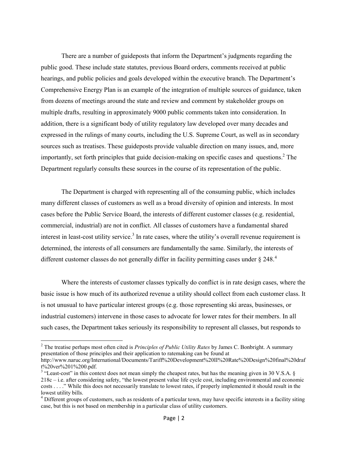There are a number of guideposts that inform the Department's judgments regarding the public good. These include state statutes, previous Board orders, comments received at public hearings, and public policies and goals developed within the executive branch. The Department's Comprehensive Energy Plan is an example of the integration of multiple sources of guidance, taken from dozens of meetings around the state and review and comment by stakeholder groups on multiple drafts, resulting in approximately 9000 public comments taken into consideration. In addition, there is a significant body of utility regulatory law developed over many decades and expressed in the rulings of many courts, including the U.S. Supreme Court, as well as in secondary sources such as treatises. These guideposts provide valuable direction on many issues, and, more importantly, set forth principles that guide decision-making on specific cases and questions. <sup>2</sup> The Department regularly consults these sources in the course of its representation of the public.

The Department is charged with representing all of the consuming public, which includes many different classes of customers as well as a broad diversity of opinion and interests. In most cases before the Public Service Board, the interests of different customer classes (e.g. residential, commercial, industrial) are not in conflict. All classes of customers have a fundamental shared interest in least-cost utility service.<sup>3</sup> In rate cases, where the utility's overall revenue requirement is determined, the interests of all consumers are fundamentally the same. Similarly, the interests of different customer classes do not generally differ in facility permitting cases under § 248.<sup>4</sup>

Where the interests of customer classes typically do conflict is in rate design cases, where the basic issue is how much of its authorized revenue a utility should collect from each customer class. It is not unusual to have particular interest groups (e.g. those representing ski areas, businesses, or industrial customers) intervene in those cases to advocate for lower rates for their members. In all such cases, the Department takes seriously its responsibility to represent all classes, but responds to

 $\overline{\phantom{a}}$ 

<sup>2</sup> The treatise perhaps most often cited is *Principles of Public Utility Rates* by James C. Bonbright. A summary presentation of those principles and their application to ratemaking can be found at http://www.naruc.org/International/Documents/Tariff%20Development%20II%20Rate%20Design%20final%20draf t%20ver%201%200.pdf.

 $3$  "Least-cost" in this context does not mean simply the cheapest rates, but has the meaning given in 30 V.S.A. § 218c – i.e. after considering safety, "the lowest present value life cycle cost, including environmental and economic costs . . . ." While this does not necessarily translate to lowest rates, if properly implemented it should result in the lowest utility bills.

 $4$  Different groups of customers, such as residents of a particular town, may have specific interests in a facility siting case, but this is not based on membership in a particular class of utility customers.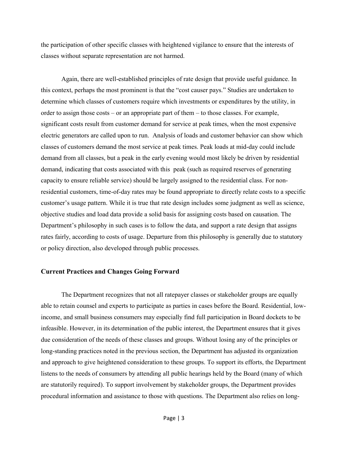the participation of other specific classes with heightened vigilance to ensure that the interests of classes without separate representation are not harmed.

Again, there are well-established principles of rate design that provide useful guidance. In this context, perhaps the most prominent is that the "cost causer pays." Studies are undertaken to determine which classes of customers require which investments or expenditures by the utility, in order to assign those costs – or an appropriate part of them – to those classes. For example, significant costs result from customer demand for service at peak times, when the most expensive electric generators are called upon to run. Analysis of loads and customer behavior can show which classes of customers demand the most service at peak times. Peak loads at mid-day could include demand from all classes, but a peak in the early evening would most likely be driven by residential demand, indicating that costs associated with this peak (such as required reserves of generating capacity to ensure reliable service) should be largely assigned to the residential class. For nonresidential customers, time-of-day rates may be found appropriate to directly relate costs to a specific customer's usage pattern. While it is true that rate design includes some judgment as well as science, objective studies and load data provide a solid basis for assigning costs based on causation. The Department's philosophy in such cases is to follow the data, and support a rate design that assigns rates fairly, according to costs of usage. Departure from this philosophy is generally due to statutory or policy direction, also developed through public processes.

## **Current Practices and Changes Going Forward**

The Department recognizes that not all ratepayer classes or stakeholder groups are equally able to retain counsel and experts to participate as parties in cases before the Board. Residential, lowincome, and small business consumers may especially find full participation in Board dockets to be infeasible. However, in its determination of the public interest, the Department ensures that it gives due consideration of the needs of these classes and groups. Without losing any of the principles or long-standing practices noted in the previous section, the Department has adjusted its organization and approach to give heightened consideration to these groups. To support its efforts, the Department listens to the needs of consumers by attending all public hearings held by the Board (many of which are statutorily required). To support involvement by stakeholder groups, the Department provides procedural information and assistance to those with questions. The Department also relies on long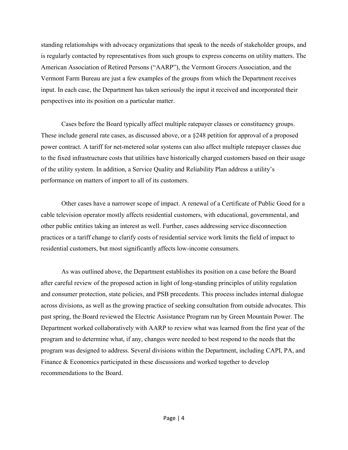standing relationships with advocacy organizations that speak to the needs of stakeholder groups, and is regularly contacted by representatives from such groups to express concerns on utility matters. The American Association of Retired Persons ("AARP"), the Vermont Grocers Association, and the Vermont Farm Bureau are just a few examples of the groups from which the Department receives input. In each case, the Department has taken seriously the input it received and incorporated their perspectives into its position on a particular matter.

Cases before the Board typically affect multiple ratepayer classes or constituency groups. These include general rate cases, as discussed above, or a §248 petition for approval of a proposed power contract. A tariff for net-metered solar systems can also affect multiple ratepayer classes due to the fixed infrastructure costs that utilities have historically charged customers based on their usage of the utility system. In addition, a Service Quality and Reliability Plan address a utility's performance on matters of import to all of its customers.

Other cases have a narrower scope of impact. A renewal of a Certificate of Public Good for a cable television operator mostly affects residential customers, with educational, governmental, and other public entities taking an interest as well. Further, cases addressing service disconnection practices or a tariff change to clarify costs of residential service work limits the field of impact to residential customers, but most significantly affects low-income consumers.

As was outlined above, the Department establishes its position on a case before the Board after careful review of the proposed action in light of long-standing principles of utility regulation and consumer protection, state policies, and PSB precedents. This process includes internal dialogue across divisions, as well as the growing practice of seeking consultation from outside advocates. This past spring, the Board reviewed the Electric Assistance Program run by Green Mountain Power. The Department worked collaboratively with AARP to review what was learned from the first year of the program and to determine what, if any, changes were needed to best respond to the needs that the program was designed to address. Several divisions within the Department, including CAPI, PA, and Finance & Economics participated in these discussions and worked together to develop recommendations to the Board.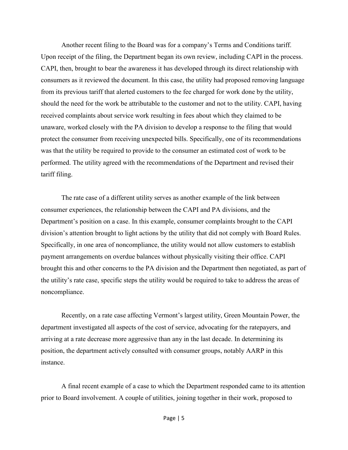Another recent filing to the Board was for a company's Terms and Conditions tariff. Upon receipt of the filing, the Department began its own review, including CAPI in the process. CAPI, then, brought to bear the awareness it has developed through its direct relationship with consumers as it reviewed the document. In this case, the utility had proposed removing language from its previous tariff that alerted customers to the fee charged for work done by the utility, should the need for the work be attributable to the customer and not to the utility. CAPI, having received complaints about service work resulting in fees about which they claimed to be unaware, worked closely with the PA division to develop a response to the filing that would protect the consumer from receiving unexpected bills. Specifically, one of its recommendations was that the utility be required to provide to the consumer an estimated cost of work to be performed. The utility agreed with the recommendations of the Department and revised their tariff filing.

The rate case of a different utility serves as another example of the link between consumer experiences, the relationship between the CAPI and PA divisions, and the Department's position on a case. In this example, consumer complaints brought to the CAPI division's attention brought to light actions by the utility that did not comply with Board Rules. Specifically, in one area of noncompliance, the utility would not allow customers to establish payment arrangements on overdue balances without physically visiting their office. CAPI brought this and other concerns to the PA division and the Department then negotiated, as part of the utility's rate case, specific steps the utility would be required to take to address the areas of noncompliance.

Recently, on a rate case affecting Vermont's largest utility, Green Mountain Power, the department investigated all aspects of the cost of service, advocating for the ratepayers, and arriving at a rate decrease more aggressive than any in the last decade. In determining its position, the department actively consulted with consumer groups, notably AARP in this instance.

A final recent example of a case to which the Department responded came to its attention prior to Board involvement. A couple of utilities, joining together in their work, proposed to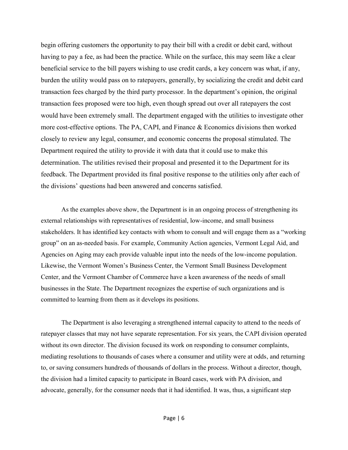begin offering customers the opportunity to pay their bill with a credit or debit card, without having to pay a fee, as had been the practice. While on the surface, this may seem like a clear beneficial service to the bill payers wishing to use credit cards, a key concern was what, if any, burden the utility would pass on to ratepayers, generally, by socializing the credit and debit card transaction fees charged by the third party processor. In the department's opinion, the original transaction fees proposed were too high, even though spread out over all ratepayers the cost would have been extremely small. The department engaged with the utilities to investigate other more cost-effective options. The PA, CAPI, and Finance & Economics divisions then worked closely to review any legal, consumer, and economic concerns the proposal stimulated. The Department required the utility to provide it with data that it could use to make this determination. The utilities revised their proposal and presented it to the Department for its feedback. The Department provided its final positive response to the utilities only after each of the divisions' questions had been answered and concerns satisfied.

As the examples above show, the Department is in an ongoing process of strengthening its external relationships with representatives of residential, low-income, and small business stakeholders. It has identified key contacts with whom to consult and will engage them as a "working group" on an as-needed basis. For example, Community Action agencies, Vermont Legal Aid, and Agencies on Aging may each provide valuable input into the needs of the low-income population. Likewise, the Vermont Women's Business Center, the Vermont Small Business Development Center, and the Vermont Chamber of Commerce have a keen awareness of the needs of small businesses in the State. The Department recognizes the expertise of such organizations and is committed to learning from them as it develops its positions.

The Department is also leveraging a strengthened internal capacity to attend to the needs of ratepayer classes that may not have separate representation. For six years, the CAPI division operated without its own director. The division focused its work on responding to consumer complaints, mediating resolutions to thousands of cases where a consumer and utility were at odds, and returning to, or saving consumers hundreds of thousands of dollars in the process. Without a director, though, the division had a limited capacity to participate in Board cases, work with PA division, and advocate, generally, for the consumer needs that it had identified. It was, thus, a significant step